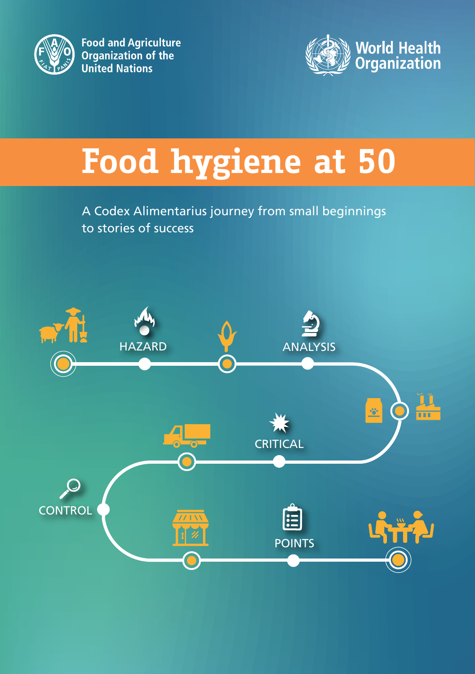

**Food and Agriculture** Organization of the **United Nations** 



# **Food hygiene at 50**

A Codex Alimentarius journey from small beginnings to stories of success

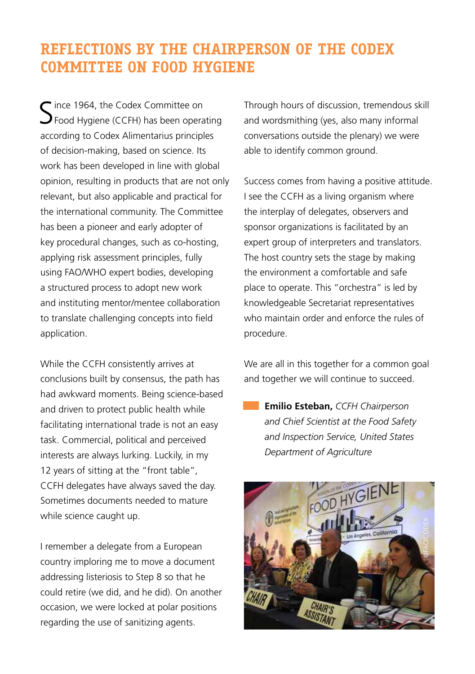# **Reflections by the Chairperson of the Codex Committee on Food Hygiene**

Since 1964, the Codex Committee on<br>Shood Hygiene (CCFH) has been operating according to Codex Alimentarius principles of decision-making, based on science. Its work has been developed in line with global opinion, resulting in products that are not only relevant, but also applicable and practical for the international community. The Committee has been a pioneer and early adopter of key procedural changes, such as co-hosting, applying risk assessment principles, fully using FAO/WHO expert bodies, developing a structured process to adopt new work and instituting mentor/mentee collaboration to translate challenging concepts into field application.

While the CCFH consistently arrives at conclusions built by consensus, the path has had awkward moments. Being science-based and driven to protect public health while facilitating international trade is not an easy task. Commercial, political and perceived interests are always lurking. Luckily, in my 12 years of sitting at the "front table", CCFH delegates have always saved the day. Sometimes documents needed to mature while science caught up.

I remember a delegate from a European country imploring me to move a document addressing listeriosis to Step 8 so that he could retire (we did, and he did). On another occasion, we were locked at polar positions regarding the use of sanitizing agents.

Through hours of discussion, tremendous skill and wordsmithing (yes, also many informal conversations outside the plenary) we were able to identify common ground.

Success comes from having a positive attitude. I see the CCFH as a living organism where the interplay of delegates, observers and sponsor organizations is facilitated by an expert group of interpreters and translators. The host country sets the stage by making the environment a comfortable and safe place to operate. This "orchestra" is led by knowledgeable Secretariat representatives who maintain order and enforce the rules of procedure.

We are all in this together for a common goal and together we will continue to succeed.

**Emilio Esteban,** *CCFH Chairperson and Chief Scientist at the Food Safety and Inspection Service, United States Department of Agriculture*

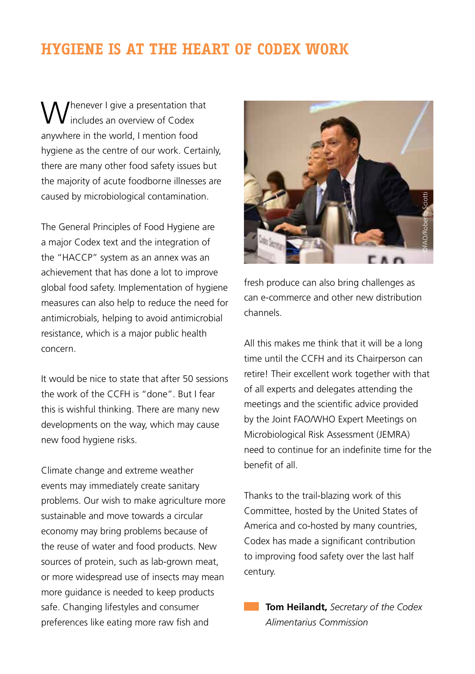# **Hygiene is at the heart of Codex work**

Whenever I give a presentation that includes an overview of Codex anywhere in the world, I mention food hygiene as the centre of our work. Certainly, there are many other food safety issues but the majority of acute foodborne illnesses are caused by microbiological contamination.

The General Principles of Food Hygiene are a major Codex text and the integration of the "HACCP" system as an annex was an achievement that has done a lot to improve global food safety. Implementation of hygiene measures can also help to reduce the need for antimicrobials, helping to avoid antimicrobial resistance, which is a major public health concern.

It would be nice to state that after 50 sessions the work of the CCFH is "done". But I fear this is wishful thinking. There are many new developments on the way, which may cause new food hygiene risks.

Climate change and extreme weather events may immediately create sanitary problems. Our wish to make agriculture more sustainable and move towards a circular economy may bring problems because of the reuse of water and food products. New sources of protein, such as lab-grown meat, or more widespread use of insects may mean more guidance is needed to keep products safe. Changing lifestyles and consumer preferences like eating more raw fish and



fresh produce can also bring challenges as can e-commerce and other new distribution channels.

All this makes me think that it will be a long time until the CCFH and its Chairperson can retire! Their excellent work together with that of all experts and delegates attending the meetings and the scientific advice provided by the Joint FAO/WHO Expert Meetings on Microbiological Risk Assessment (JEMRA) need to continue for an indefinite time for the benefit of all.

Thanks to the trail-blazing work of this Committee, hosted by the United States of America and co-hosted by many countries, Codex has made a significant contribution to improving food safety over the last half century.

**Tom Heilandt,** *Secretary of the Codex Alimentarius Commission*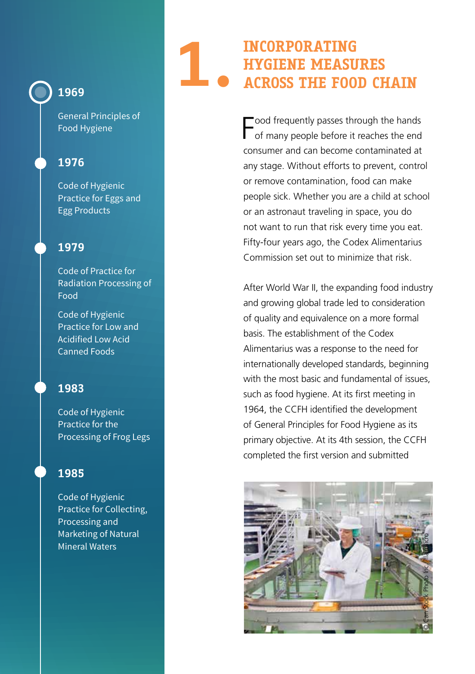General Principles of Food Hygiene

#### **1976**

Code of Hygienic Practice for Eggs and Egg Products

#### **1979**

Code of Practice for Radiation Processing of Food

Code of Hygienic Practice for Low and Acidified Low Acid Canned Foods

## **1983**

Code of Hygienic Practice for the Processing of Frog Legs

## **1985**

Code of Hygienic Practice for Collecting, Processing and Marketing of Natural Mineral Waters

#### $INCORPORTING$ **HYGIENE MEASURES ACROSS THE FOOD CHAIN** and Cooked Foods in the Cooked Food State in the Cooked Food State in the Cooked Food State in the Cooked Food<br>The Cooked Food Cooked Food State in the Cooked Food State in the Cooked Food State in the Cooked Food State i **1.**

Food frequently passes through the hands<br>of many people before it reaches the end of many people before it reaches the end consumer and can become contaminated at any stage. Without efforts to prevent, control or remove contamination, food can make people sick. Whether you are a child at school or an astronaut traveling in space, you do not want to run that risk every time you eat. Fifty-four years ago, the Codex Alimentarius Commission set out to minimize that risk. stage Praint to Tail the r-iour years ago, t

After World War II, the expanding food industry and growing global trade led to consideration of quality and equivalence on a more formal basis. The establishment of the Codex **1999** Alimentarius was a response to the need for internationally developed standards, beginning with the most basic and fundamental of issues, such as food hygiene. At its first meeting in 1964, the CCFH identified the development of General Principles for Food Hygiene as its primary objective. At its 4th session, the CCFH completed the first version and submitted Related to Foods idity objective. At its

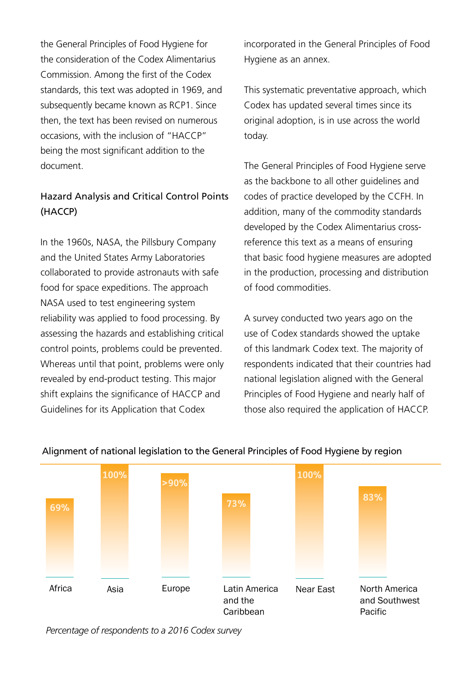the General Principles of Food Hygiene for the consideration of the Codex Alimentarius Commission. Among the first of the Codex standards, this text was adopted in 1969, and subsequently became known as RCP1. Since then, the text has been revised on numerous occasions, with the inclusion of "HACCP" being the most significant addition to the document.

# Hazard Analysis and Critical Control Points (HACCP)

In the 1960s, NASA, the Pillsbury Company and the United States Army Laboratories collaborated to provide astronauts with safe food for space expeditions. The approach NASA used to test engineering system reliability was applied to food processing. By assessing the hazards and establishing critical control points, problems could be prevented. Whereas until that point, problems were only revealed by end-product testing. This major shift explains the significance of HACCP and Guidelines for its Application that Codex

incorporated in the General Principles of Food Hygiene as an annex.

This systematic preventative approach, which Codex has updated several times since its original adoption, is in use across the world today.

The General Principles of Food Hygiene serve as the backbone to all other guidelines and codes of practice developed by the CCFH. In addition, many of the commodity standards developed by the Codex Alimentarius crossreference this text as a means of ensuring that basic food hygiene measures are adopted in the production, processing and distribution of food commodities.

A survey conducted two years ago on the use of Codex standards showed the uptake of this landmark Codex text. The majority of respondents indicated that their countries had national legislation aligned with the General Principles of Food Hygiene and nearly half of those also required the application of HACCP.



#### Alignment of national legislation to the General Principles of Food Hygiene by region

*Percentage of respondents to a 2016 Codex survey*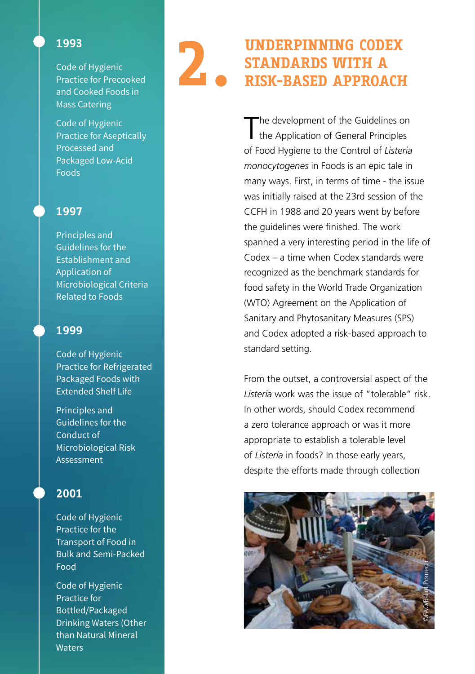Code of Hygienic Practice for Precooked and Cooked Foods in Mass Catering

Code of Hygienic Practice for Aseptically Processed and Packaged Low-Acid Foods

#### **1997**

Principles and Guidelines for the Establishment and Application of Microbiological Criteria Related to Foods

#### **1999**

Code of Hygienic Practice for Refrigerated Packaged Foods with Extended Shelf Life

Principles and Guidelines for the Conduct of Microbiological Risk Assessment

### **2001**

Code of Hygienic Practice for the Transport of Food in Bulk and Semi-Packed Food

Code of Hygienic Practice for Bottled/Packaged Drinking Waters (Other than Natural Mineral **Waters** 

# **Underpinning Codex 2003** STANDARDS WITH A RISK-BASED APPROACH **2.**

The development of the Guidelines on<br>the Application of General Principles of Food Hygiene to the Control of Listeria monocytogenes in Foods is an epic tale in many ways. First, in terms of time - the issue was initially raised at the 23rd session of the CCFH in 1988 and 20 years went by before **2007** the guidelines were finished. The work spanned a very interesting period in the life of Codex – a time when Codex standards were recognized as the benchmark standards for food safety in the World Trade Organization (WTO) Agreement on the Application of Sanitary and Phytosanitary Measures (SPS) and Codex adopted a risk-based approach to standard setting. The development of the Guidelines on Guidelines for the vrien Coue Hygiene to the Control of

From the outset, a controversial aspect of the *Listeria* work was the issue of "tolerable" risk. In other words, should Codex recommend **2008** a zero tolerance approach or was it more appropriate to establish a tolerable level of Listeria in foods? In those early years, despite the efforts made through collection

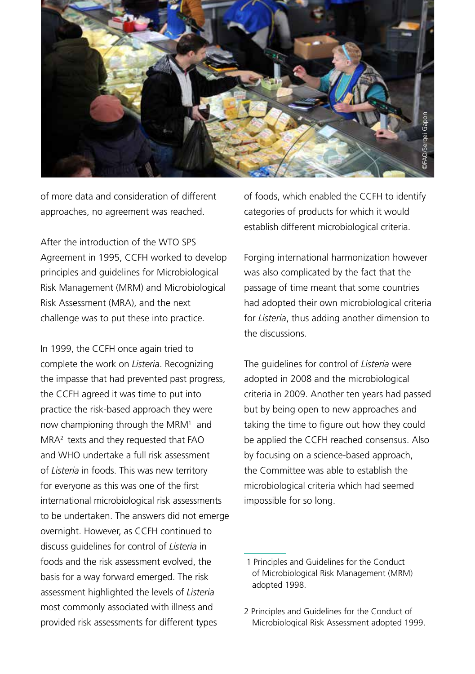

of more data and consideration of different approaches, no agreement was reached.

After the introduction of the WTO SPS Agreement in 1995, CCFH worked to develop principles and guidelines for Microbiological Risk Management (MRM) and Microbiological Risk Assessment (MRA), and the next challenge was to put these into practice.

In 1999, the CCFH once again tried to complete the work on *Listeria*. Recognizing the impasse that had prevented past progress, the CCFH agreed it was time to put into practice the risk-based approach they were now championing through the MRM<sup>1</sup> and MRA2 texts and they requested that FAO and WHO undertake a full risk assessment of *Listeria* in foods. This was new territory for everyone as this was one of the first international microbiological risk assessments to be undertaken. The answers did not emerge overnight. However, as CCFH continued to discuss guidelines for control of *Listeria* in foods and the risk assessment evolved, the basis for a way forward emerged. The risk assessment highlighted the levels of *Listeria* most commonly associated with illness and provided risk assessments for different types

of foods, which enabled the CCFH to identify categories of products for which it would establish different microbiological criteria.

Forging international harmonization however was also complicated by the fact that the passage of time meant that some countries had adopted their own microbiological criteria for *Listeria*, thus adding another dimension to the discussions.

The guidelines for control of *Listeria* were adopted in 2008 and the microbiological criteria in 2009. Another ten years had passed but by being open to new approaches and taking the time to figure out how they could be applied the CCFH reached consensus. Also by focusing on a science-based approach, the Committee was able to establish the microbiological criteria which had seemed impossible for so long. Micropolity and Suidelines for the Conduct of Microbiological Risk Assessment Afternation and Suite Assessment and adopted their own microbiological criteria.<br>
The first Asses also complicated by the fact that the standard

 <sup>1</sup> Principles and Guidelines for the Conduct of Microbiological Risk Management (MRM) adopted 1998.

<sup>2</sup> Principles and Guidelines for the Conduct of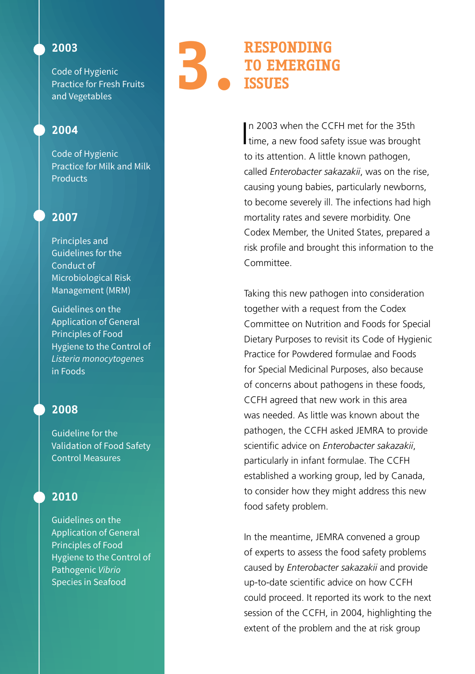Code of Hygienic Practice for Fresh Fruits and Vegetables

### **2004**

Code of Hygienic Practice for Milk and Milk **Products** 

#### **2007**

Principles and Guidelines for the Conduct of Microbiological Risk Management (MRM)

Guidelines on the Application of General Principles of Food Hygiene to the Control of *Listeria monocytogenes*  in Foods

#### **2008**

Guideline for the Validation of Food Safety Control Measures

# **2010**

Guidelines on the Application of General Principles of Food Hygiene to the Control of Pathogenic *Vibrio*  Species in Seafood



In 2003 when the CCFH met for the 35th<br>time, a new food safety issue was brought n 2003 when the CCFH met for the 35th to its attention. A little known pathogen, called *Enterobacter sakazakii*, was on the rise, **2012** causing young babies, particularly newborns, to become severely ill. The infections had high mortality rates and severe morbidity. One Codex Member, the United States, prepared a risk profile and brought this information to the Committee.  $\alpha$  member, are  $\alpha$ 

Taking this new pathogen into consideration together with a request from the Codex Committee on Nutrition and Foods for Special *saginata* in Meat of Dietary Purposes to revisit its Code of Hygienic Practice for Powdered formulae and Foods for Special Medicinal Purposes, also because of concerns about pathogens in these foods, **2015** CCFH agreed that new work in this area was needed. As little was known about the pathogen, the CCFH asked JEMRA to provide scientific advice on Enterobacter sakazakii, particularly in infant formulae. The CCFH .<br>established a working group, led by Canada, to consider how they might address this new food safety problem. Guidelines for the die *v*illia reque

In the meantime, JEMRA convened a group of experts to assess the food safety problems caused by *Enterobacter sakazakii* and provide up-to-date scientific advice on how CCFH could proceed. It reported its work to the next session of the CCFH, in 2004, highlighting the extent of the problem and the at risk group c meanth. perts to asses: Hygiene to the Control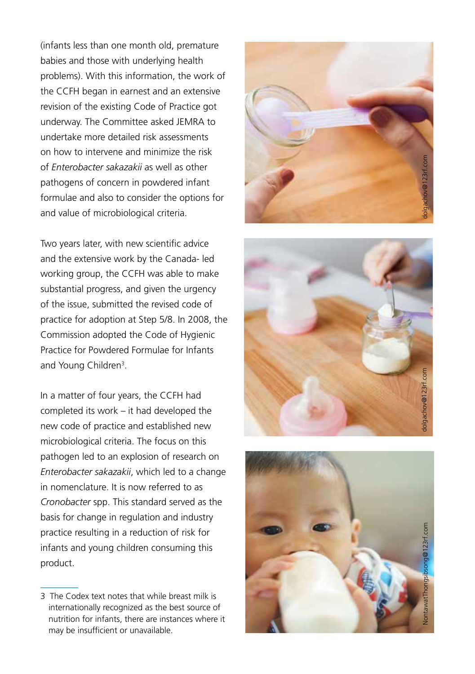(infants less than one month old, premature babies and those with underlying health problems). With this information, the work of the CCFH began in earnest and an extensive revision of the existing Code of Practice got underway. The Committee asked JEMRA to undertake more detailed risk assessments on how to intervene and minimize the risk of *Enterobacter sakazakii* as well as other pathogens of concern in powdered infant formulae and also to consider the options for and value of microbiological criteria.

Two years later, with new scientific advice and the extensive work by the Canada- led working group, the CCFH was able to make substantial progress, and given the urgency of the issue, submitted the revised code of practice for adoption at Step 5/8. In 2008, the Commission adopted the Code of Hygienic Practice for Powdered Formulae for Infants and Young Children 3 .

In a matter of four years, the CCFH had completed its work – it had developed the new code of practice and established new microbiological criteria. The focus on this pathogen led to an explosion of research on *Enterobacter sakazakii*, which led to a change in nomenclature. It is now referred to as *Cronobacter* spp. This standard served as the basis for change in regulation and industry practice resulting in a reduction of risk for infants and young children consuming this product.







<sup>3</sup> The Codex text notes that while breast milk is internationally recognized as the best source of nutrition for infants, there are instances where it may be insufficient or unavailable.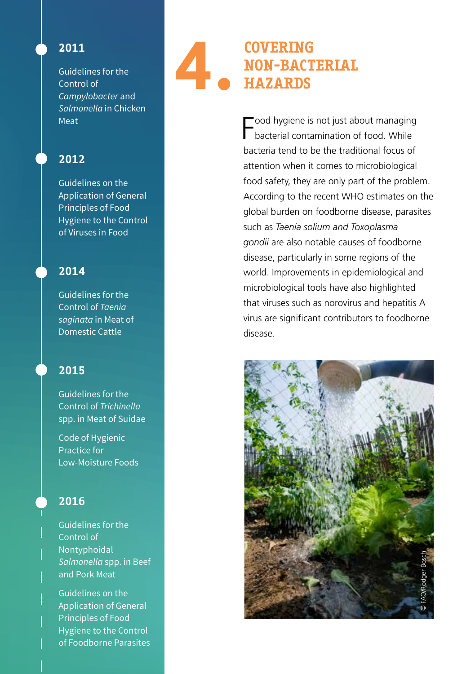**1969**<br>
1969<br>
1969<br>
1969<br>
1969<br>
1969<br>
1969<br>
1969<br>
1969<br>
1969<br>
1969<br>
1969<br>
1969<br>
1969<br>
1969<br>
1969<br>
1969<br>
1969<br>
1969<br>
1969<br>
1969<br>
1969<br>
1969<br>
1969<br>
1969<br>
1969<br>
1969<br>
1969<br>
1969<br>
1969<br>
1969<br>
1969<br>
1969<br>
1969<br>
1969<br>
1969<br>
1969 Guidelines for the Control of *Campylobacter* and *Salmonella* in Chicken Meat

# **2012**

Guidelines on the Application of General Principles of Food Hygiene to the Control of Viruses in Food

#### **2014**

Guidelines for the Control of *Taenia saginata* in Meat of Domestic Cattle

## **2015**

Guidelines for the Control of *Trichinella* spp. in Meat of Suidae

Code of Hygienic Practice for Low-Moisture Foods

# **2016**

Guidelines for the Control of Nontyphoidal *Salmonella* spp. in Beef and Pork Meat

Guidelines on the Application of General Principles of Food Hygiene to the Control of Foodborne Parasites

# **Covering non-bacterial hazards**

Food hygiene is not just about managing<br>bacterial contamination of food. While bacterial contamination of food. While bacteria tend to be the traditional focus of attention when it comes to microbiological food safety, they are only part of the problem. According to the recent WHO estimates on the global burden on foodborne disease, parasites such as *Taenia solium and Toxoplasma gondii* are also notable causes of foodborne disease, particularly in some regions of the world. Improvements in epidemiological and microbiological tools have also highlighted that viruses such as norovirus and hepatitis A virus are significant contributors to foodborne disease.

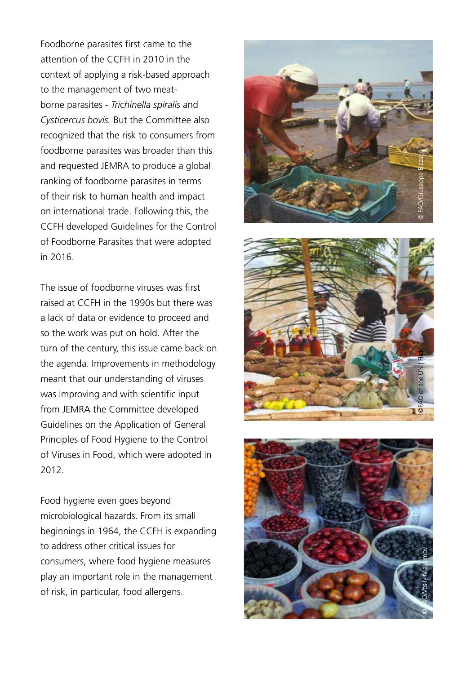Foodborne parasites first came to the attention of the CCFH in 2010 in the context of applying a risk-based approach to the management of two meatborne parasites - *Trichinella spiralis* and *Cysticercus bovis.* But the Committee also recognized that the risk to consumers from foodborne parasites was broader than this and requested JEMRA to produce a global ranking of foodborne parasites in terms of their risk to human health and impact on international trade. Following this, the CCFH developed Guidelines for the Control of Foodborne Parasites that were adopted in 2016.

The issue of foodborne viruses was first raised at CCFH in the 1990s but there was a lack of data or evidence to proceed and so the work was put on hold. After the turn of the century, this issue came back on the agenda. Improvements in methodology meant that our understanding of viruses was improving and with scientific input from JEMRA the Committee developed Guidelines on the Application of General Principles of Food Hygiene to the Control of Viruses in Food, which were adopted in 2012.

Food hygiene even goes beyond microbiological hazards. From its small beginnings in 1964, the CCFH is expanding to address other critical issues for consumers, where food hygiene measures play an important role in the management of risk, in particular, food allergens.